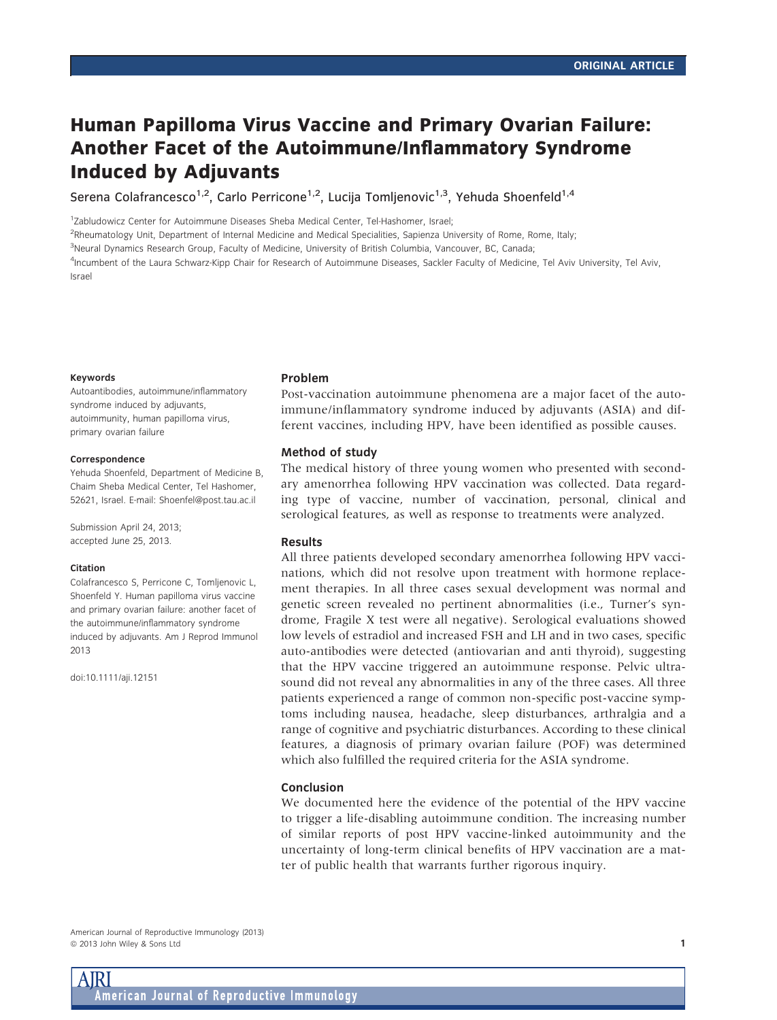# Human Papilloma Virus Vaccine and Primary Ovarian Failure: Another Facet of the Autoimmune/Inflammatory Syndrome Induced by Adjuvants

Serena Colafrancesco<sup>1,2</sup>, Carlo Perricone<sup>1,2</sup>, Lucija Tomljenovic<sup>1,3</sup>, Yehuda Shoenfeld<sup>1,4</sup>

1 Zabludowicz Center for Autoimmune Diseases Sheba Medical Center, Tel-Hashomer, Israel;

<sup>2</sup>Rheumatology Unit, Department of Internal Medicine and Medical Specialities, Sapienza University of Rome, Rome, Italy;

3 Neural Dynamics Research Group, Faculty of Medicine, University of British Columbia, Vancouver, BC, Canada;

4 Incumbent of the Laura Schwarz-Kipp Chair for Research of Autoimmune Diseases, Sackler Faculty of Medicine, Tel Aviv University, Tel Aviv, Israel

#### Keywords

Autoantibodies, autoimmune/inflammatory syndrome induced by adjuvants, autoimmunity, human papilloma virus, primary ovarian failure

#### Correspondence

Yehuda Shoenfeld, Department of Medicine B, Chaim Sheba Medical Center, Tel Hashomer, 52621, Israel. E-mail: Shoenfel@post.tau.ac.il

Submission April 24, 2013; accepted June 25, 2013.

## Citation

Colafrancesco S, Perricone C, Tomljenovic L, Shoenfeld Y. Human papilloma virus vaccine and primary ovarian failure: another facet of the autoimmune/inflammatory syndrome induced by adjuvants. Am J Reprod Immunol 2013

doi:10.1111/aji.12151

## Problem

Post-vaccination autoimmune phenomena are a major facet of the autoimmune/inflammatory syndrome induced by adjuvants (ASIA) and different vaccines, including HPV, have been identified as possible causes.

## Method of study

The medical history of three young women who presented with secondary amenorrhea following HPV vaccination was collected. Data regarding type of vaccine, number of vaccination, personal, clinical and serological features, as well as response to treatments were analyzed.

## Results

All three patients developed secondary amenorrhea following HPV vaccinations, which did not resolve upon treatment with hormone replacement therapies. In all three cases sexual development was normal and genetic screen revealed no pertinent abnormalities (i.e., Turner's syndrome, Fragile X test were all negative). Serological evaluations showed low levels of estradiol and increased FSH and LH and in two cases, specific auto-antibodies were detected (antiovarian and anti thyroid), suggesting that the HPV vaccine triggered an autoimmune response. Pelvic ultrasound did not reveal any abnormalities in any of the three cases. All three patients experienced a range of common non-specific post-vaccine symptoms including nausea, headache, sleep disturbances, arthralgia and a range of cognitive and psychiatric disturbances. According to these clinical features, a diagnosis of primary ovarian failure (POF) was determined which also fulfilled the required criteria for the ASIA syndrome.

#### Conclusion

We documented here the evidence of the potential of the HPV vaccine to trigger a life-disabling autoimmune condition. The increasing number of similar reports of post HPV vaccine-linked autoimmunity and the uncertainty of long-term clinical benefits of HPV vaccination are a matter of public health that warrants further rigorous inquiry.

American Journal of Reproductive Immunology (2013)  $\degree$  2013 John Wiley & Sons Ltd 1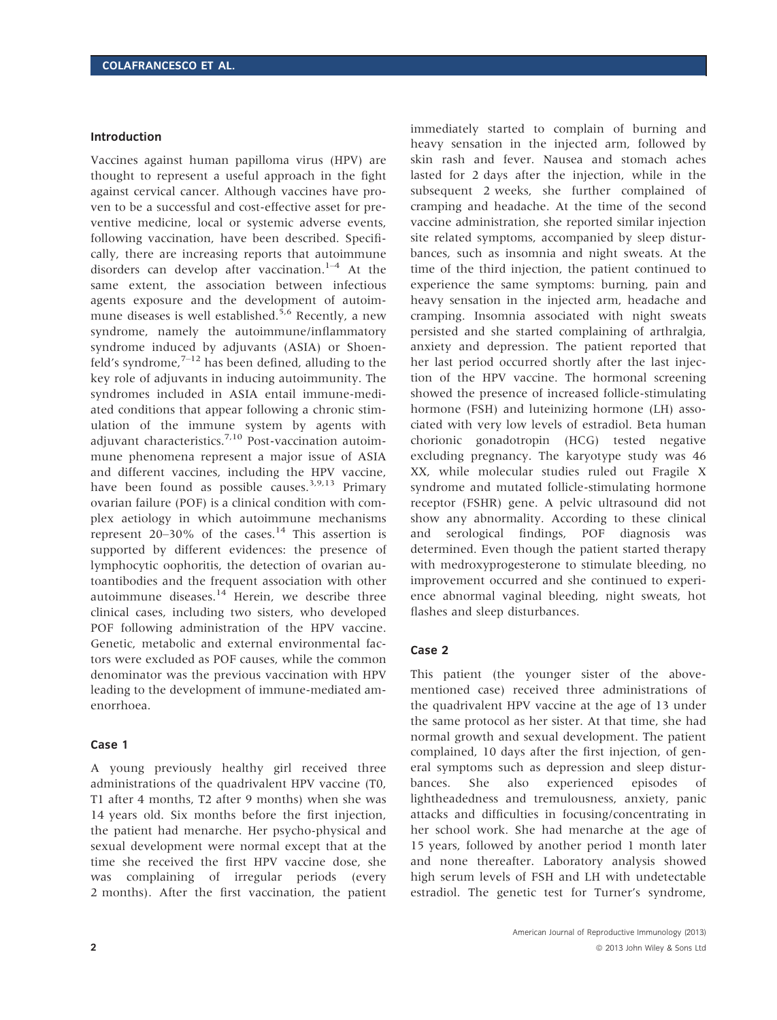# Introduction

Vaccines against human papilloma virus (HPV) are thought to represent a useful approach in the fight against cervical cancer. Although vaccines have proven to be a successful and cost-effective asset for preventive medicine, local or systemic adverse events, following vaccination, have been described. Specifically, there are increasing reports that autoimmune disorders can develop after vaccination.<sup>1–4</sup> At the same extent, the association between infectious agents exposure and the development of autoimmune diseases is well established.<sup>5,6</sup> Recently, a new syndrome, namely the autoimmune/inflammatory syndrome induced by adjuvants (ASIA) or Shoenfeld's syndrome, $7-12$  has been defined, alluding to the key role of adjuvants in inducing autoimmunity. The syndromes included in ASIA entail immune-mediated conditions that appear following a chronic stimulation of the immune system by agents with adjuvant characteristics.<sup>7,10</sup> Post-vaccination autoimmune phenomena represent a major issue of ASIA and different vaccines, including the HPV vaccine, have been found as possible causes.<sup>3,9,13</sup> Primary ovarian failure (POF) is a clinical condition with complex aetiology in which autoimmune mechanisms represent  $20-30\%$  of the cases.<sup>14</sup> This assertion is supported by different evidences: the presence of lymphocytic oophoritis, the detection of ovarian autoantibodies and the frequent association with other autoimmune diseases. $14$  Herein, we describe three clinical cases, including two sisters, who developed POF following administration of the HPV vaccine. Genetic, metabolic and external environmental factors were excluded as POF causes, while the common denominator was the previous vaccination with HPV leading to the development of immune-mediated amenorrhoea.

# Case 1

A young previously healthy girl received three administrations of the quadrivalent HPV vaccine (T0, T1 after 4 months, T2 after 9 months) when she was 14 years old. Six months before the first injection, the patient had menarche. Her psycho-physical and sexual development were normal except that at the time she received the first HPV vaccine dose, she was complaining of irregular periods (every 2 months). After the first vaccination, the patient immediately started to complain of burning and heavy sensation in the injected arm, followed by skin rash and fever. Nausea and stomach aches lasted for 2 days after the injection, while in the subsequent 2 weeks, she further complained of cramping and headache. At the time of the second vaccine administration, she reported similar injection site related symptoms, accompanied by sleep disturbances, such as insomnia and night sweats. At the time of the third injection, the patient continued to experience the same symptoms: burning, pain and heavy sensation in the injected arm, headache and cramping. Insomnia associated with night sweats persisted and she started complaining of arthralgia, anxiety and depression. The patient reported that her last period occurred shortly after the last injection of the HPV vaccine. The hormonal screening showed the presence of increased follicle-stimulating hormone (FSH) and luteinizing hormone (LH) associated with very low levels of estradiol. Beta human chorionic gonadotropin (HCG) tested negative excluding pregnancy. The karyotype study was 46 XX, while molecular studies ruled out Fragile X syndrome and mutated follicle-stimulating hormone receptor (FSHR) gene. A pelvic ultrasound did not show any abnormality. According to these clinical and serological findings, POF diagnosis was determined. Even though the patient started therapy with medroxyprogesterone to stimulate bleeding, no improvement occurred and she continued to experience abnormal vaginal bleeding, night sweats, hot flashes and sleep disturbances.

# Case 2

This patient (the younger sister of the abovementioned case) received three administrations of the quadrivalent HPV vaccine at the age of 13 under the same protocol as her sister. At that time, she had normal growth and sexual development. The patient complained, 10 days after the first injection, of general symptoms such as depression and sleep disturbances. She also experienced episodes of lightheadedness and tremulousness, anxiety, panic attacks and difficulties in focusing/concentrating in her school work. She had menarche at the age of 15 years, followed by another period 1 month later and none thereafter. Laboratory analysis showed high serum levels of FSH and LH with undetectable estradiol. The genetic test for Turner's syndrome,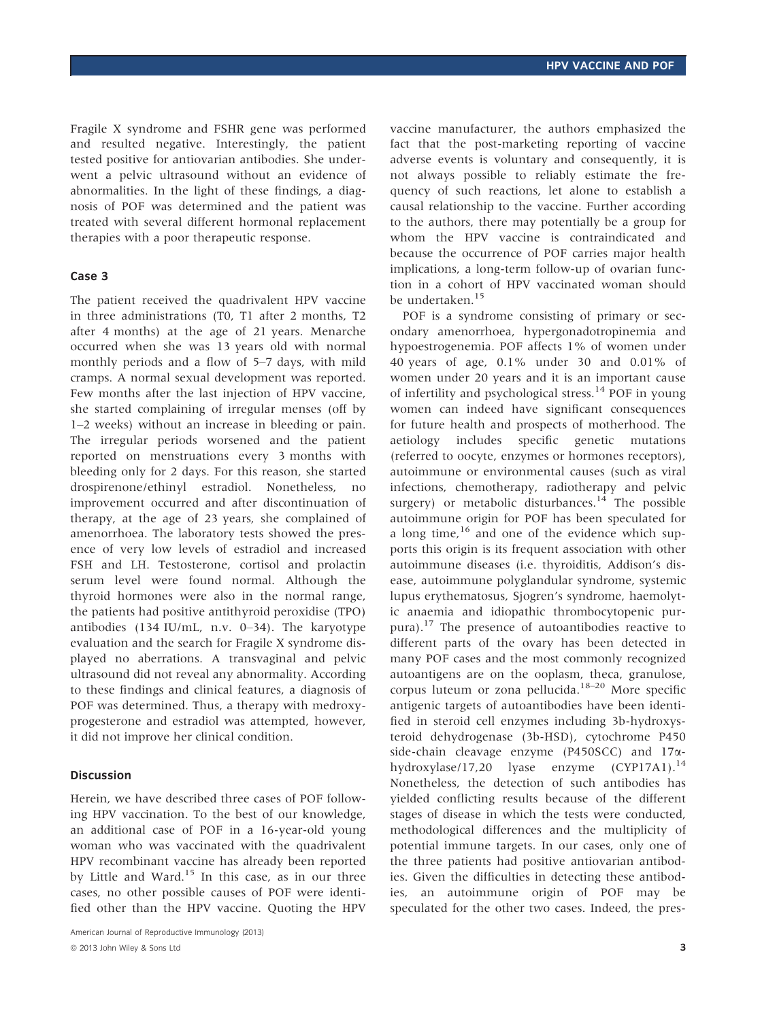Fragile X syndrome and FSHR gene was performed and resulted negative. Interestingly, the patient tested positive for antiovarian antibodies. She underwent a pelvic ultrasound without an evidence of abnormalities. In the light of these findings, a diagnosis of POF was determined and the patient was treated with several different hormonal replacement therapies with a poor therapeutic response.

# Case 3

The patient received the quadrivalent HPV vaccine in three administrations (T0, T1 after 2 months, T2 after 4 months) at the age of 21 years. Menarche occurred when she was 13 years old with normal monthly periods and a flow of 5–7 days, with mild cramps. A normal sexual development was reported. Few months after the last injection of HPV vaccine, she started complaining of irregular menses (off by 1–2 weeks) without an increase in bleeding or pain. The irregular periods worsened and the patient reported on menstruations every 3 months with bleeding only for 2 days. For this reason, she started drospirenone/ethinyl estradiol. Nonetheless, no improvement occurred and after discontinuation of therapy, at the age of 23 years, she complained of amenorrhoea. The laboratory tests showed the presence of very low levels of estradiol and increased FSH and LH. Testosterone, cortisol and prolactin serum level were found normal. Although the thyroid hormones were also in the normal range, the patients had positive antithyroid peroxidise (TPO) antibodies (134 IU/mL, n.v. 0–34). The karyotype evaluation and the search for Fragile X syndrome displayed no aberrations. A transvaginal and pelvic ultrasound did not reveal any abnormality. According to these findings and clinical features, a diagnosis of POF was determined. Thus, a therapy with medroxyprogesterone and estradiol was attempted, however, it did not improve her clinical condition.

## **Discussion**

Herein, we have described three cases of POF following HPV vaccination. To the best of our knowledge, an additional case of POF in a 16-year-old young woman who was vaccinated with the quadrivalent HPV recombinant vaccine has already been reported by Little and Ward.<sup>15</sup> In this case, as in our three cases, no other possible causes of POF were identified other than the HPV vaccine. Quoting the HPV

vaccine manufacturer, the authors emphasized the fact that the post-marketing reporting of vaccine adverse events is voluntary and consequently, it is not always possible to reliably estimate the frequency of such reactions, let alone to establish a causal relationship to the vaccine. Further according to the authors, there may potentially be a group for whom the HPV vaccine is contraindicated and because the occurrence of POF carries major health implications, a long-term follow-up of ovarian function in a cohort of HPV vaccinated woman should be undertaken.<sup>15</sup>

POF is a syndrome consisting of primary or secondary amenorrhoea, hypergonadotropinemia and hypoestrogenemia. POF affects 1% of women under 40 years of age, 0.1% under 30 and 0.01% of women under 20 years and it is an important cause of infertility and psychological stress.14 POF in young women can indeed have significant consequences for future health and prospects of motherhood. The aetiology includes specific genetic mutations (referred to oocyte, enzymes or hormones receptors), autoimmune or environmental causes (such as viral infections, chemotherapy, radiotherapy and pelvic surgery) or metabolic disturbances.<sup>14</sup> The possible autoimmune origin for POF has been speculated for a long time, $16$  and one of the evidence which supports this origin is its frequent association with other autoimmune diseases (i.e. thyroiditis, Addison's disease, autoimmune polyglandular syndrome, systemic lupus erythematosus, Sjogren's syndrome, haemolytic anaemia and idiopathic thrombocytopenic purpura).<sup>17</sup> The presence of autoantibodies reactive to different parts of the ovary has been detected in many POF cases and the most commonly recognized autoantigens are on the ooplasm, theca, granulose, corpus luteum or zona pellucida.<sup>18–20</sup> More specific antigenic targets of autoantibodies have been identified in steroid cell enzymes including 3b-hydroxysteroid dehydrogenase (3b-HSD), cytochrome P450 side-chain cleavage enzyme (P450SCC) and 17ahydroxylase/17,20 lyase enzyme (CYP17A1).<sup>14</sup> Nonetheless, the detection of such antibodies has yielded conflicting results because of the different stages of disease in which the tests were conducted, methodological differences and the multiplicity of potential immune targets. In our cases, only one of the three patients had positive antiovarian antibodies. Given the difficulties in detecting these antibodies, an autoimmune origin of POF may be speculated for the other two cases. Indeed, the pres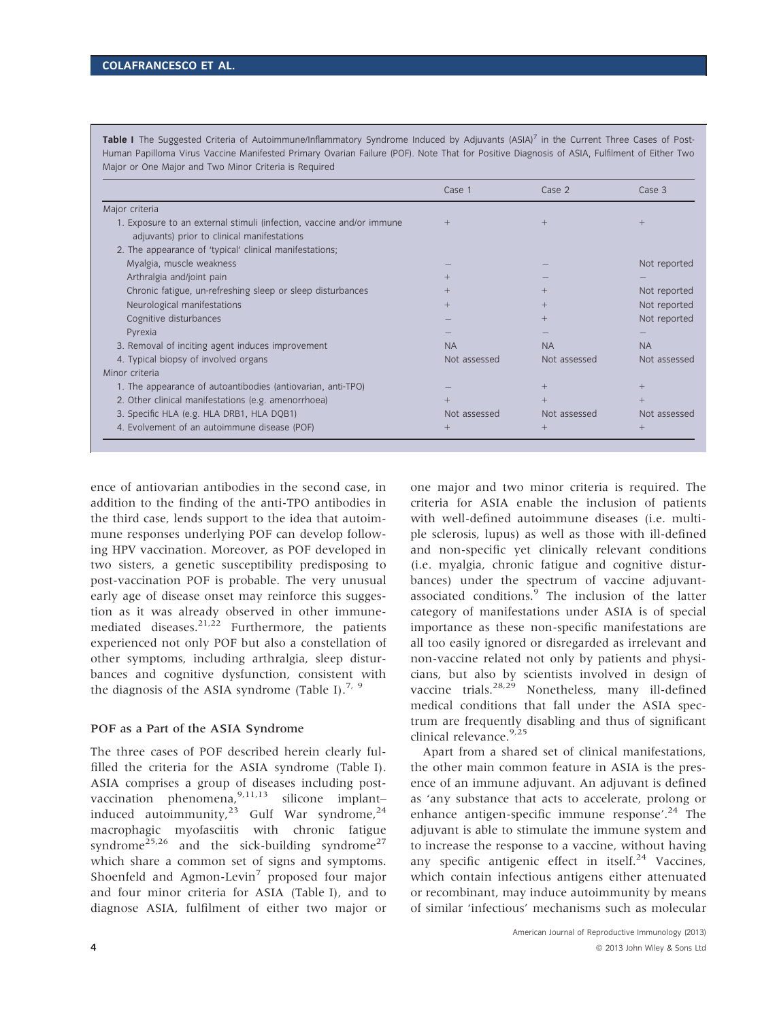Table I The Suggested Criteria of Autoimmune/Inflammatory Syndrome Induced by Adjuvants (ASIA)<sup>7</sup> in the Current Three Cases of Post-Human Papilloma Virus Vaccine Manifested Primary Ovarian Failure (POF). Note That for Positive Diagnosis of ASIA, Fulfilment of Either Two Major or One Major and Two Minor Criteria is Required

|                                                                                                                     | Case 1       | Case 2       | Case 3       |
|---------------------------------------------------------------------------------------------------------------------|--------------|--------------|--------------|
| Major criteria                                                                                                      |              |              |              |
| 1. Exposure to an external stimuli (infection, vaccine and/or immune<br>adjuvants) prior to clinical manifestations | $+$          | $^{+}$       | $^{+}$       |
| 2. The appearance of 'typical' clinical manifestations;                                                             |              |              |              |
| Myalgia, muscle weakness                                                                                            |              |              | Not reported |
| Arthralgia and/joint pain                                                                                           | $^+$         |              |              |
| Chronic fatigue, un-refreshing sleep or sleep disturbances                                                          | $^{+}$       | $^{+}$       | Not reported |
| Neurological manifestations                                                                                         | $+$          | $^{+}$       | Not reported |
| Cognitive disturbances                                                                                              |              | $+$          | Not reported |
| Pyrexia                                                                                                             |              |              |              |
| 3. Removal of inciting agent induces improvement                                                                    | <b>NA</b>    | <b>NA</b>    | <b>NA</b>    |
| 4. Typical biopsy of involved organs                                                                                | Not assessed | Not assessed | Not assessed |
| Minor criteria                                                                                                      |              |              |              |
| 1. The appearance of autoantibodies (antiovarian, anti-TPO)                                                         |              | $^{+}$       | $+$          |
| 2. Other clinical manifestations (e.g. amenorrhoea)                                                                 |              | $^{+}$       | $^{+}$       |
| 3. Specific HLA (e.g. HLA DRB1, HLA DQB1)                                                                           | Not assessed | Not assessed | Not assessed |
| 4. Evolvement of an autoimmune disease (POF)                                                                        | $^{+}$       | $^{+}$       | $^{+}$       |

ence of antiovarian antibodies in the second case, in addition to the finding of the anti-TPO antibodies in the third case, lends support to the idea that autoimmune responses underlying POF can develop following HPV vaccination. Moreover, as POF developed in two sisters, a genetic susceptibility predisposing to post-vaccination POF is probable. The very unusual early age of disease onset may reinforce this suggestion as it was already observed in other immunemediated diseases.<sup>21,22</sup> Furthermore, the patients experienced not only POF but also a constellation of other symptoms, including arthralgia, sleep disturbances and cognitive dysfunction, consistent with the diagnosis of the ASIA syndrome (Table I).<sup>7, 9</sup>

# POF as a Part of the ASIA Syndrome

The three cases of POF described herein clearly fulfilled the criteria for the ASIA syndrome (Table I). ASIA comprises a group of diseases including post-<br>vaccination phenomena,  $9,11,13$  silicone implantvaccination phenomena, $^{9,11,13}$ induced autoimmunity,  $2^3$  Gulf War syndrome,  $2^4$ macrophagic myofasciitis with chronic fatigue syndrome<sup>25,26</sup> and the sick-building syndrome<sup>27</sup> which share a common set of signs and symptoms. Shoenfeld and Agmon-Levin<sup>7</sup> proposed four major and four minor criteria for ASIA (Table I), and to diagnose ASIA, fulfilment of either two major or one major and two minor criteria is required. The criteria for ASIA enable the inclusion of patients with well-defined autoimmune diseases (i.e. multiple sclerosis, lupus) as well as those with ill-defined and non-specific yet clinically relevant conditions (i.e. myalgia, chronic fatigue and cognitive disturbances) under the spectrum of vaccine adjuvantassociated conditions.<sup>9</sup> The inclusion of the latter category of manifestations under ASIA is of special importance as these non-specific manifestations are all too easily ignored or disregarded as irrelevant and non-vaccine related not only by patients and physicians, but also by scientists involved in design of vaccine trials.<sup>28,29</sup> Nonetheless, many ill-defined medical conditions that fall under the ASIA spectrum are frequently disabling and thus of significant clinical relevance.<sup>9,25</sup>

Apart from a shared set of clinical manifestations, the other main common feature in ASIA is the presence of an immune adjuvant. An adjuvant is defined as 'any substance that acts to accelerate, prolong or enhance antigen-specific immune response'. $^{24}$  The adjuvant is able to stimulate the immune system and to increase the response to a vaccine, without having any specific antigenic effect in itself.<sup>24</sup> Vaccines, which contain infectious antigens either attenuated or recombinant, may induce autoimmunity by means of similar 'infectious' mechanisms such as molecular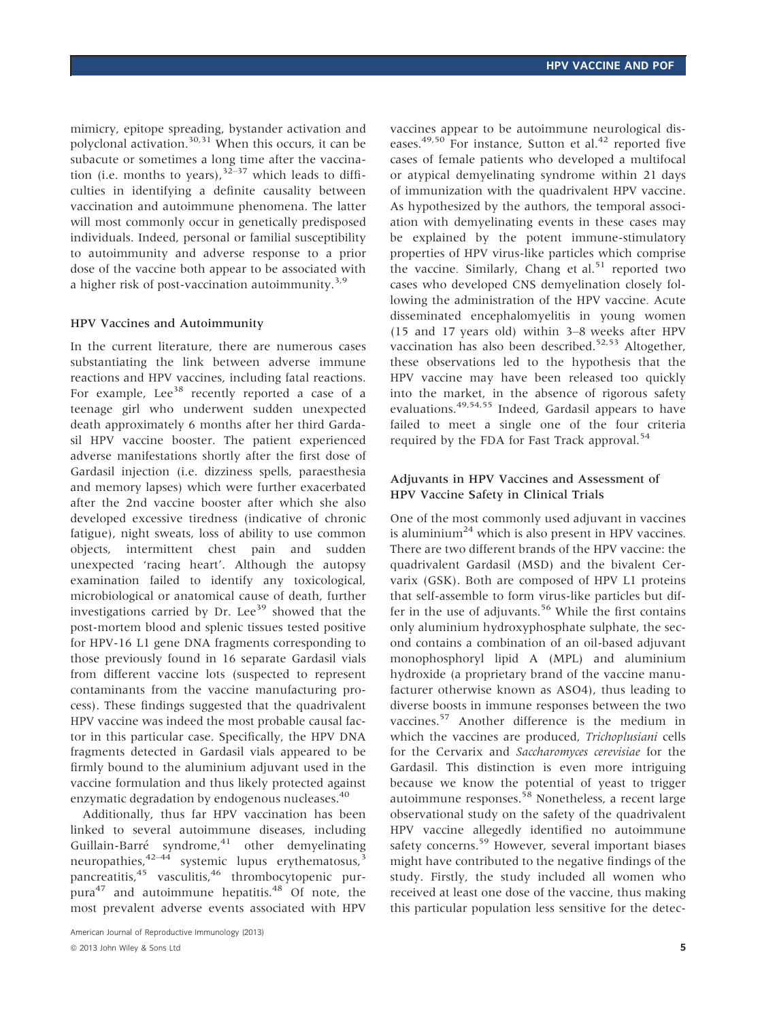mimicry, epitope spreading, bystander activation and polyclonal activation.30,31 When this occurs, it can be subacute or sometimes a long time after the vaccination (i.e. months to years),  $32-37$  which leads to difficulties in identifying a definite causality between vaccination and autoimmune phenomena. The latter will most commonly occur in genetically predisposed individuals. Indeed, personal or familial susceptibility to autoimmunity and adverse response to a prior dose of the vaccine both appear to be associated with a higher risk of post-vaccination autoimmunity. $3.9$ 

# HPV Vaccines and Autoimmunity

In the current literature, there are numerous cases substantiating the link between adverse immune reactions and HPV vaccines, including fatal reactions. For example, Lee<sup>38</sup> recently reported a case of a teenage girl who underwent sudden unexpected death approximately 6 months after her third Gardasil HPV vaccine booster. The patient experienced adverse manifestations shortly after the first dose of Gardasil injection (i.e. dizziness spells, paraesthesia and memory lapses) which were further exacerbated after the 2nd vaccine booster after which she also developed excessive tiredness (indicative of chronic fatigue), night sweats, loss of ability to use common objects, intermittent chest pain and sudden unexpected 'racing heart'. Although the autopsy examination failed to identify any toxicological, microbiological or anatomical cause of death, further investigations carried by Dr. Lee<sup>39</sup> showed that the post-mortem blood and splenic tissues tested positive for HPV-16 L1 gene DNA fragments corresponding to those previously found in 16 separate Gardasil vials from different vaccine lots (suspected to represent contaminants from the vaccine manufacturing process). These findings suggested that the quadrivalent HPV vaccine was indeed the most probable causal factor in this particular case. Specifically, the HPV DNA fragments detected in Gardasil vials appeared to be firmly bound to the aluminium adjuvant used in the vaccine formulation and thus likely protected against enzymatic degradation by endogenous nucleases.<sup>40</sup>

Additionally, thus far HPV vaccination has been linked to several autoimmune diseases, including Guillain-Barré syndrome, $41$  other demyelinating neuropathies, $42-44$  systemic lupus erythematosus, pancreatitis,45 vasculitis,<sup>46</sup> thrombocytopenic purpura<sup>47</sup> and autoimmune hepatitis.<sup>48</sup> Of note, the most prevalent adverse events associated with HPV

vaccines appear to be autoimmune neurological diseases.<sup>49,50</sup> For instance, Sutton et al.<sup>42</sup> reported five cases of female patients who developed a multifocal or atypical demyelinating syndrome within 21 days of immunization with the quadrivalent HPV vaccine. As hypothesized by the authors, the temporal association with demyelinating events in these cases may be explained by the potent immune-stimulatory properties of HPV virus-like particles which comprise the vaccine. Similarly, Chang et al.<sup>51</sup> reported two cases who developed CNS demyelination closely following the administration of the HPV vaccine. Acute disseminated encephalomyelitis in young women (15 and 17 years old) within 3–8 weeks after HPV vaccination has also been described.<sup>52,53</sup> Altogether, these observations led to the hypothesis that the HPV vaccine may have been released too quickly into the market, in the absence of rigorous safety evaluations.49,54,55 Indeed, Gardasil appears to have failed to meet a single one of the four criteria required by the FDA for Fast Track approval.<sup>54</sup>

# Adjuvants in HPV Vaccines and Assessment of HPV Vaccine Safety in Clinical Trials

One of the most commonly used adjuvant in vaccines is aluminium<sup>24</sup> which is also present in HPV vaccines. There are two different brands of the HPV vaccine: the quadrivalent Gardasil (MSD) and the bivalent Cervarix (GSK). Both are composed of HPV L1 proteins that self-assemble to form virus-like particles but differ in the use of adjuvants.<sup>56</sup> While the first contains only aluminium hydroxyphosphate sulphate, the second contains a combination of an oil-based adjuvant monophosphoryl lipid A (MPL) and aluminium hydroxide (a proprietary brand of the vaccine manufacturer otherwise known as ASO4), thus leading to diverse boosts in immune responses between the two vaccines.57 Another difference is the medium in which the vaccines are produced, Trichoplusiani cells for the Cervarix and Saccharomyces cerevisiae for the Gardasil. This distinction is even more intriguing because we know the potential of yeast to trigger autoimmune responses.<sup>58</sup> Nonetheless, a recent large observational study on the safety of the quadrivalent HPV vaccine allegedly identified no autoimmune safety concerns.<sup>59</sup> However, several important biases might have contributed to the negative findings of the study. Firstly, the study included all women who received at least one dose of the vaccine, thus making this particular population less sensitive for the detec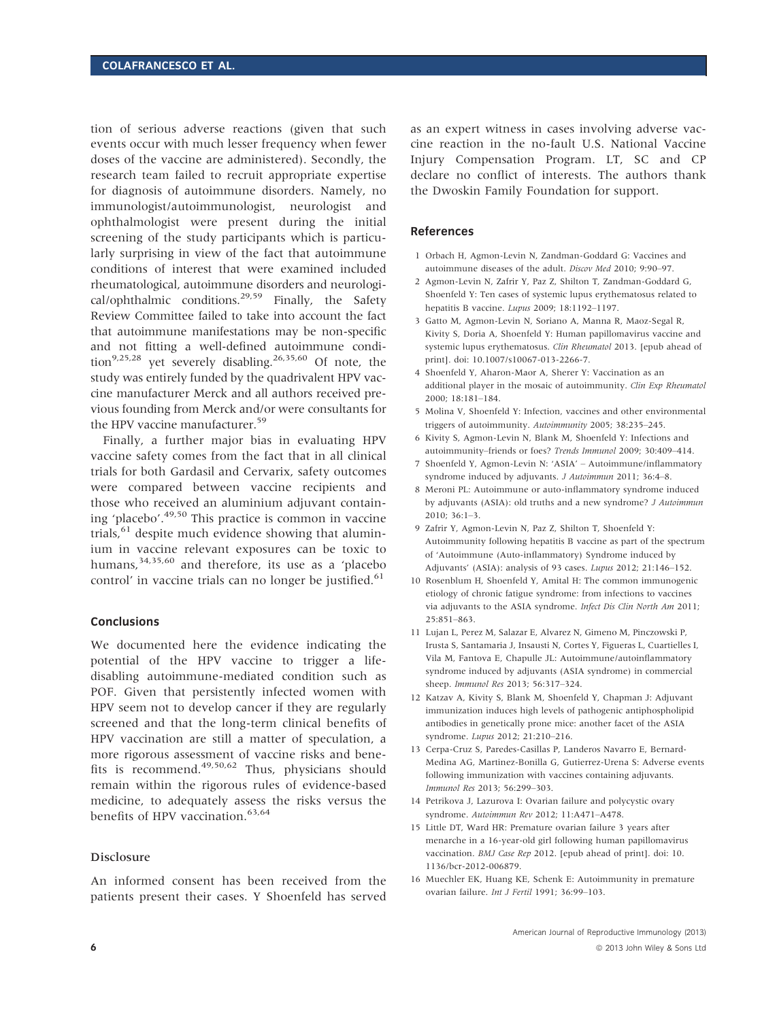tion of serious adverse reactions (given that such events occur with much lesser frequency when fewer doses of the vaccine are administered). Secondly, the research team failed to recruit appropriate expertise for diagnosis of autoimmune disorders. Namely, no immunologist/autoimmunologist, neurologist and ophthalmologist were present during the initial screening of the study participants which is particularly surprising in view of the fact that autoimmune conditions of interest that were examined included rheumatological, autoimmune disorders and neurological/ophthalmic conditions.<sup>29,59</sup> Finally, the Safety Review Committee failed to take into account the fact that autoimmune manifestations may be non-specific and not fitting a well-defined autoimmune condition<sup>9,25,28</sup> yet severely disabling.<sup>26,35,60</sup> Of note, the study was entirely funded by the quadrivalent HPV vaccine manufacturer Merck and all authors received previous founding from Merck and/or were consultants for the HPV vaccine manufacturer.<sup>59</sup>

Finally, a further major bias in evaluating HPV vaccine safety comes from the fact that in all clinical trials for both Gardasil and Cervarix, safety outcomes were compared between vaccine recipients and those who received an aluminium adjuvant containing 'placebo'.<sup>49,50</sup> This practice is common in vaccine trials,<sup>61</sup> despite much evidence showing that aluminium in vaccine relevant exposures can be toxic to humans,<sup>34,35,60</sup> and therefore, its use as a 'placebo control' in vaccine trials can no longer be justified. $61$ 

# **Conclusions**

We documented here the evidence indicating the potential of the HPV vaccine to trigger a lifedisabling autoimmune-mediated condition such as POF. Given that persistently infected women with HPV seem not to develop cancer if they are regularly screened and that the long-term clinical benefits of HPV vaccination are still a matter of speculation, a more rigorous assessment of vaccine risks and benefits is recommend.<sup>49,50,62</sup> Thus, physicians should remain within the rigorous rules of evidence-based medicine, to adequately assess the risks versus the benefits of HPV vaccination.<sup>63,64</sup>

# Disclosure

An informed consent has been received from the patients present their cases. Y Shoenfeld has served as an expert witness in cases involving adverse vaccine reaction in the no-fault U.S. National Vaccine Injury Compensation Program. LT, SC and CP declare no conflict of interests. The authors thank the Dwoskin Family Foundation for support.

# References

- 1 Orbach H, Agmon-Levin N, Zandman-Goddard G: Vaccines and autoimmune diseases of the adult. Discov Med 2010; 9:90–97.
- 2 Agmon-Levin N, Zafrir Y, Paz Z, Shilton T, Zandman-Goddard G, Shoenfeld Y: Ten cases of systemic lupus erythematosus related to hepatitis B vaccine. Lupus 2009; 18:1192–1197.
- 3 Gatto M, Agmon-Levin N, Soriano A, Manna R, Maoz-Segal R, Kivity S, Doria A, Shoenfeld Y: Human papillomavirus vaccine and systemic lupus erythematosus. Clin Rheumatol 2013. [epub ahead of print]. doi: 10.1007/s10067-013-2266-7.
- 4 Shoenfeld Y, Aharon-Maor A, Sherer Y: Vaccination as an additional player in the mosaic of autoimmunity. Clin Exp Rheumatol 2000; 18:181–184.
- 5 Molina V, Shoenfeld Y: Infection, vaccines and other environmental triggers of autoimmunity. Autoimmunity 2005; 38:235–245.
- 6 Kivity S, Agmon-Levin N, Blank M, Shoenfeld Y: Infections and autoimmunity–friends or foes? Trends Immunol 2009; 30:409–414.
- 7 Shoenfeld Y, Agmon-Levin N: 'ASIA' Autoimmune/inflammatory syndrome induced by adjuvants. J Autoimmun 2011; 36:4–8.
- 8 Meroni PL: Autoimmune or auto-inflammatory syndrome induced by adjuvants (ASIA): old truths and a new syndrome? J Autoimmun 2010; 36:1–3.
- 9 Zafrir Y, Agmon-Levin N, Paz Z, Shilton T, Shoenfeld Y: Autoimmunity following hepatitis B vaccine as part of the spectrum of 'Autoimmune (Auto-inflammatory) Syndrome induced by Adjuvants' (ASIA): analysis of 93 cases. Lupus 2012; 21:146–152.
- 10 Rosenblum H, Shoenfeld Y, Amital H: The common immunogenic etiology of chronic fatigue syndrome: from infections to vaccines via adjuvants to the ASIA syndrome. Infect Dis Clin North Am 2011; 25:851–863.
- 11 Lujan L, Perez M, Salazar E, Alvarez N, Gimeno M, Pinczowski P, Irusta S, Santamaria J, Insausti N, Cortes Y, Figueras L, Cuartielles I, Vila M, Fantova E, Chapulle JL: Autoimmune/autoinflammatory syndrome induced by adjuvants (ASIA syndrome) in commercial sheep. Immunol Res 2013; 56:317–324.
- 12 Katzav A, Kivity S, Blank M, Shoenfeld Y, Chapman J: Adjuvant immunization induces high levels of pathogenic antiphospholipid antibodies in genetically prone mice: another facet of the ASIA syndrome. Lupus 2012; 21:210–216.
- 13 Cerpa-Cruz S, Paredes-Casillas P, Landeros Navarro E, Bernard-Medina AG, Martinez-Bonilla G, Gutierrez-Urena S: Adverse events following immunization with vaccines containing adjuvants. Immunol Res 2013; 56:299–303.
- 14 Petrikova J, Lazurova I: Ovarian failure and polycystic ovary syndrome. Autoimmun Rev 2012; 11:A471–A478.
- 15 Little DT, Ward HR: Premature ovarian failure 3 years after menarche in a 16-year-old girl following human papillomavirus vaccination. BMJ Case Rep 2012. [epub ahead of print]. doi: 10. 1136/bcr-2012-006879.
- 16 Muechler EK, Huang KE, Schenk E: Autoimmunity in premature ovarian failure. Int J Fertil 1991; 36:99–103.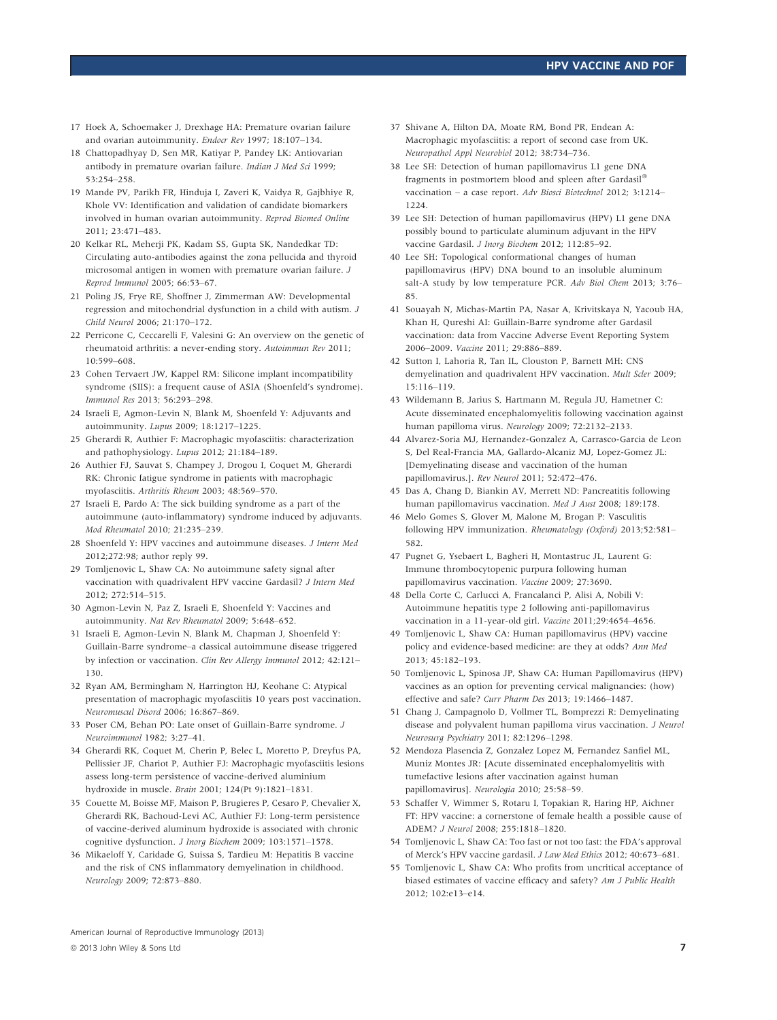- 17 Hoek A, Schoemaker J, Drexhage HA: Premature ovarian failure and ovarian autoimmunity. Endocr Rev 1997; 18:107–134.
- 18 Chattopadhyay D, Sen MR, Katiyar P, Pandey LK: Antiovarian antibody in premature ovarian failure. Indian J Med Sci 1999; 53:254–258.
- 19 Mande PV, Parikh FR, Hinduja I, Zaveri K, Vaidya R, Gajbhiye R, Khole VV: Identification and validation of candidate biomarkers involved in human ovarian autoimmunity. Reprod Biomed Online 2011; 23:471–483.
- 20 Kelkar RL, Meherji PK, Kadam SS, Gupta SK, Nandedkar TD: Circulating auto-antibodies against the zona pellucida and thyroid microsomal antigen in women with premature ovarian failure. J Reprod Immunol 2005; 66:53–67.
- 21 Poling JS, Frye RE, Shoffner J, Zimmerman AW: Developmental regression and mitochondrial dysfunction in a child with autism. J Child Neurol 2006; 21:170–172.
- 22 Perricone C, Ceccarelli F, Valesini G: An overview on the genetic of rheumatoid arthritis: a never-ending story. Autoimmun Rev 2011; 10:599–608.
- 23 Cohen Tervaert JW, Kappel RM: Silicone implant incompatibility syndrome (SIIS): a frequent cause of ASIA (Shoenfeld's syndrome). Immunol Res 2013; 56:293–298.
- 24 Israeli E, Agmon-Levin N, Blank M, Shoenfeld Y: Adjuvants and autoimmunity. Lupus 2009; 18:1217–1225.
- 25 Gherardi R, Authier F: Macrophagic myofasciitis: characterization and pathophysiology. Lupus 2012; 21:184–189.
- 26 Authier FJ, Sauvat S, Champey J, Drogou I, Coquet M, Gherardi RK: Chronic fatigue syndrome in patients with macrophagic myofasciitis. Arthritis Rheum 2003; 48:569–570.
- 27 Israeli E, Pardo A: The sick building syndrome as a part of the autoimmune (auto-inflammatory) syndrome induced by adjuvants. Mod Rheumatol 2010; 21:235–239.
- 28 Shoenfeld Y: HPV vaccines and autoimmune diseases. J Intern Med 2012;272:98; author reply 99.
- 29 Tomljenovic L, Shaw CA: No autoimmune safety signal after vaccination with quadrivalent HPV vaccine Gardasil? J Intern Med 2012; 272:514–515.
- 30 Agmon-Levin N, Paz Z, Israeli E, Shoenfeld Y: Vaccines and autoimmunity. Nat Rev Rheumatol 2009; 5:648–652.
- 31 Israeli E, Agmon-Levin N, Blank M, Chapman J, Shoenfeld Y: Guillain-Barre syndrome–a classical autoimmune disease triggered by infection or vaccination. Clin Rev Allergy Immunol 2012; 42:121– 130.
- 32 Ryan AM, Bermingham N, Harrington HJ, Keohane C: Atypical presentation of macrophagic myofasciitis 10 years post vaccination. Neuromuscul Disord 2006; 16:867–869.
- 33 Poser CM, Behan PO: Late onset of Guillain-Barre syndrome. J Neuroimmunol 1982; 3:27–41.
- 34 Gherardi RK, Coquet M, Cherin P, Belec L, Moretto P, Dreyfus PA, Pellissier JF, Chariot P, Authier FJ: Macrophagic myofasciitis lesions assess long-term persistence of vaccine-derived aluminium hydroxide in muscle. Brain 2001; 124(Pt 9):1821–1831.
- 35 Couette M, Boisse MF, Maison P, Brugieres P, Cesaro P, Chevalier X, Gherardi RK, Bachoud-Levi AC, Authier FJ: Long-term persistence of vaccine-derived aluminum hydroxide is associated with chronic cognitive dysfunction. J Inorg Biochem 2009; 103:1571–1578.
- 36 Mikaeloff Y, Caridade G, Suissa S, Tardieu M: Hepatitis B vaccine and the risk of CNS inflammatory demyelination in childhood. Neurology 2009; 72:873–880.
- 37 Shivane A, Hilton DA, Moate RM, Bond PR, Endean A: Macrophagic myofasciitis: a report of second case from UK. Neuropathol Appl Neurobiol 2012; 38:734–736.
- 38 Lee SH: Detection of human papillomavirus L1 gene DNA fragments in postmortem blood and spleen after Gardasil<sup>®</sup> vaccination – a case report. Adv Biosci Biotechnol 2012; 3:1214– 1224.
- 39 Lee SH: Detection of human papillomavirus (HPV) L1 gene DNA possibly bound to particulate aluminum adjuvant in the HPV vaccine Gardasil. J Inorg Biochem 2012; 112:85–92.
- 40 Lee SH: Topological conformational changes of human papillomavirus (HPV) DNA bound to an insoluble aluminum salt-A study by low temperature PCR. Adv Biol Chem 2013; 3:76– 85.
- 41 Souayah N, Michas-Martin PA, Nasar A, Krivitskaya N, Yacoub HA, Khan H, Qureshi AI: Guillain-Barre syndrome after Gardasil vaccination: data from Vaccine Adverse Event Reporting System 2006–2009. Vaccine 2011; 29:886–889.
- 42 Sutton I, Lahoria R, Tan IL, Clouston P, Barnett MH: CNS demyelination and quadrivalent HPV vaccination. Mult Scler 2009; 15:116–119.
- 43 Wildemann B, Jarius S, Hartmann M, Regula JU, Hametner C: Acute disseminated encephalomyelitis following vaccination against human papilloma virus. Neurology 2009; 72:2132–2133.
- 44 Alvarez-Soria MJ, Hernandez-Gonzalez A, Carrasco-Garcia de Leon S, Del Real-Francia MA, Gallardo-Alcaniz MJ, Lopez-Gomez JL: [Demyelinating disease and vaccination of the human papillomavirus.]. Rev Neurol 2011; 52:472–476.
- 45 Das A, Chang D, Biankin AV, Merrett ND: Pancreatitis following human papillomavirus vaccination. Med J Aust 2008; 189:178.
- 46 Melo Gomes S, Glover M, Malone M, Brogan P: Vasculitis following HPV immunization. Rheumatology (Oxford) 2013;52:581– 582.
- 47 Pugnet G, Ysebaert L, Bagheri H, Montastruc JL, Laurent G: Immune thrombocytopenic purpura following human papillomavirus vaccination. Vaccine 2009; 27:3690.
- 48 Della Corte C, Carlucci A, Francalanci P, Alisi A, Nobili V: Autoimmune hepatitis type 2 following anti-papillomavirus vaccination in a 11-year-old girl. Vaccine 2011;29:4654–4656.
- 49 Tomljenovic L, Shaw CA: Human papillomavirus (HPV) vaccine policy and evidence-based medicine: are they at odds? Ann Med 2013; 45:182–193.
- 50 Tomljenovic L, Spinosa JP, Shaw CA: Human Papillomavirus (HPV) vaccines as an option for preventing cervical malignancies: (how) effective and safe? Curr Pharm Des 2013; 19:1466–1487.
- 51 Chang J, Campagnolo D, Vollmer TL, Bomprezzi R: Demyelinating disease and polyvalent human papilloma virus vaccination. J Neurol Neurosurg Psychiatry 2011; 82:1296–1298.
- 52 Mendoza Plasencia Z, Gonzalez Lopez M, Fernandez Sanfiel ML, Muniz Montes JR: [Acute disseminated encephalomyelitis with tumefactive lesions after vaccination against human papillomavirus]. Neurologia 2010; 25:58–59.
- 53 Schaffer V, Wimmer S, Rotaru I, Topakian R, Haring HP, Aichner FT: HPV vaccine: a cornerstone of female health a possible cause of ADEM? J Neurol 2008; 255:1818–1820.
- 54 Tomljenovic L, Shaw CA: Too fast or not too fast: the FDA's approval of Merck's HPV vaccine gardasil. J Law Med Ethics 2012; 40:673–681.
- 55 Tomljenovic L, Shaw CA: Who profits from uncritical acceptance of biased estimates of vaccine efficacy and safety? Am J Public Health 2012; 102:e13–e14.